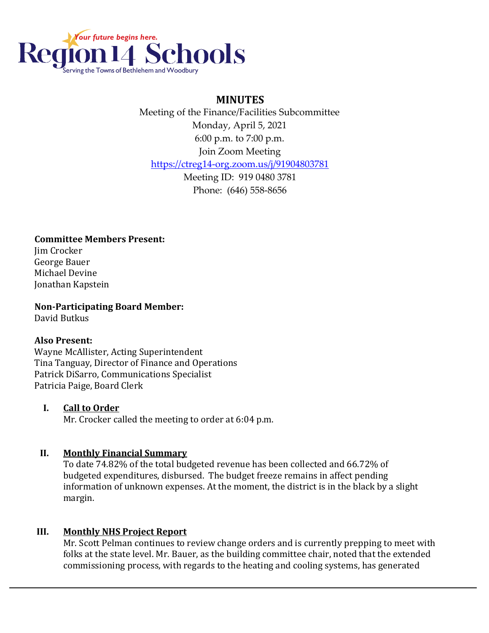

# **MINUTES**

 Meeting of the Finance/Facilities Subcommittee Monday, April 5, 2021 6:00 p.m. to 7:00 p.m. Join Zoom Meeting <https://ctreg14-org.zoom.us/j/91904803781> Meeting ID: 919 0480 3781

Phone: (646) 558-8656

**Committee Members Present:** Jim Crocker George Bauer Michael Devine Jonathan Kapstein

**Non-Participating Board Member:** David Butkus

### **Also Present:**

Wayne McAllister, Acting Superintendent Tina Tanguay, Director of Finance and Operations Patrick DiSarro, Communications Specialist Patricia Paige, Board Clerk

### **I. Call to Order**

Mr. Crocker called the meeting to order at 6:04 p.m.

# **II. Monthly Financial Summary**

To date 74.82% of the total budgeted revenue has been collected and 66.72% of budgeted expenditures, disbursed. The budget freeze remains in affect pending information of unknown expenses. At the moment, the district is in the black by a slight margin.

# **III. Monthly NHS Project Report**

Mr. Scott Pelman continues to review change orders and is currently prepping to meet with folks at the state level. Mr. Bauer, as the building committee chair, noted that the extended commissioning process, with regards to the heating and cooling systems, has generated